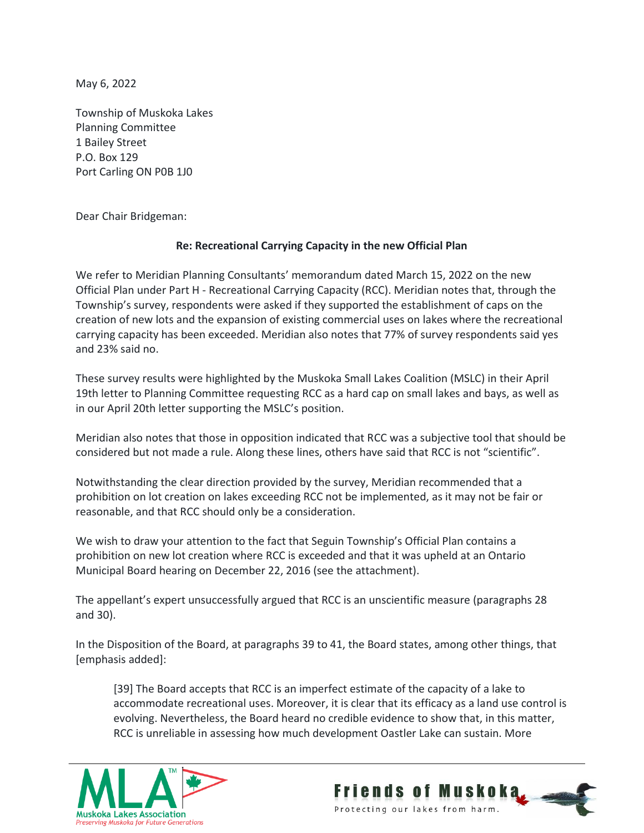May 6, 2022

Township of Muskoka Lakes Planning Committee 1 Bailey Street P.O. Box 129 Port Carling ON P0B 1J0

Dear Chair Bridgeman:

## **Re: Recreational Carrying Capacity in the new Official Plan**

We refer to Meridian Planning Consultants' memorandum dated March 15, 2022 on the new Official Plan under Part H - Recreational Carrying Capacity (RCC). Meridian notes that, through the Township's survey, respondents were asked if they supported the establishment of caps on the creation of new lots and the expansion of existing commercial uses on lakes where the recreational carrying capacity has been exceeded. Meridian also notes that 77% of survey respondents said yes and 23% said no.

These survey results were highlighted by the Muskoka Small Lakes Coalition (MSLC) in their April 19th letter to Planning Committee requesting RCC as a hard cap on small lakes and bays, as well as in our April 20th letter supporting the MSLC's position.

Meridian also notes that those in opposition indicated that RCC was a subjective tool that should be considered but not made a rule. Along these lines, others have said that RCC is not "scientific".

Notwithstanding the clear direction provided by the survey, Meridian recommended that a prohibition on lot creation on lakes exceeding RCC not be implemented, as it may not be fair or reasonable, and that RCC should only be a consideration.

We wish to draw your attention to the fact that Seguin Township's Official Plan contains a prohibition on new lot creation where RCC is exceeded and that it was upheld at an Ontario Municipal Board hearing on December 22, 2016 (see the attachment).

The appellant's expert unsuccessfully argued that RCC is an unscientific measure (paragraphs 28 and 30).

In the Disposition of the Board, at paragraphs 39 to 41, the Board states, among other things, that [emphasis added]:

[39] The Board accepts that RCC is an imperfect estimate of the capacity of a lake to accommodate recreational uses. Moreover, it is clear that its efficacy as a land use control is evolving. Nevertheless, the Board heard no credible evidence to show that, in this matter, RCC is unreliable in assessing how much development Oastler Lake can sustain. More